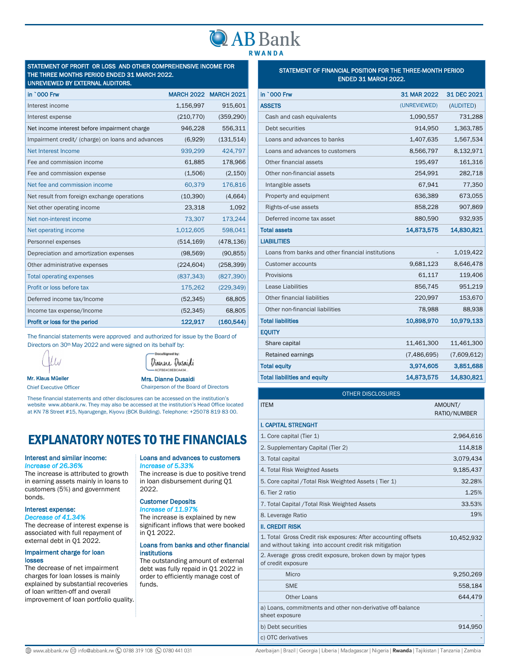## **LAB Bank RWANDA**

#### STATEMENT OF PROFIT OR LOSS AND OTHER COMPREHENSIVE INCOME FOR THE THREE MONTHS PERIOD ENDED 31 MARCH 2022. UNREVIEWED BY EXTERNAL AUDITORS.

| <u>UNIENEMED DI EXIENIME AUDITUNG:</u>            |                   |                   |
|---------------------------------------------------|-------------------|-------------------|
| in `000 Frw                                       | <b>MARCH 2022</b> | <b>MARCH 2021</b> |
| Interest income                                   | 1,156,997         | 915,601           |
| Interest expense                                  | (210, 770)        | (359, 290)        |
| Net income interest before impairment charge      | 946,228           | 556,311           |
| Impairment credit/ (charge) on loans and advances | (6,929)           | (131, 514)        |
| Net Interest Income                               | 939,299           | 424,797           |
| Fee and commission income                         | 61,885            | 178,966           |
| Fee and commission expense                        | (1,506)           | (2, 150)          |
| Net fee and commission income                     | 60,379            | 176,816           |
| Net result from foreign exchange operations       | (10, 390)         | (4,664)           |
| Net other operating income                        | 23,318            | 1,092             |
| Net non-interest income                           | 73,307            | 173,244           |
| Net operating income                              | 1,012,605         | 598,041           |
| Personnel expenses                                | (514, 169)        | (478, 136)        |
| Depreciation and amortization expenses            | (98, 569)         | (90, 855)         |
| Other administrative expenses                     | (224, 604)        | (258, 399)        |
| <b>Total operating expenses</b>                   | (837, 343)        | (827, 390)        |
| Profit or loss before tax                         | 175,262           | (229, 349)        |
| Deferred income tax/Income                        | (52, 345)         | 68,805            |
| Income tax expense/Income                         | (52, 345)         | 68,805            |
| Profit or loss for the period                     | 122,917           | (160, 544)        |

The financial statements were approved and authorized for issue by the Board of Directors on 30<sup>th</sup> May 2022 and were signed on its behalf by:



Mr. Klaus Müeller Chief Executive Officer Mrs. Dianne Dusaidi Chairperson of the Board of Directors

These financial statements and other disclosures can be accessed on the institution's website www.abbank.rw. They may also be accessed at the institution's Head Office located at KN 78 Street #15, Nyarugenge, Kiyovu (BCK Building). Telephone: +25078 819 83 00.

# EXPLANATORY NOTES TO THE FINANCIALS

## Interest and similar income:

#### *Increase of 26.36%*

The increase is attributed to growth in earning assets mainly in loans to customers (5%) and government bonds.

## Interest expense:

*Decrease of 41.34%*  The decrease of interest expense is associated with full repayment of external debt in Q1 2022.

#### Impairment charge for loan losses

The decrease of net impairment charges for loan losses is mainly explained by substantial recoveries of loan written-off and overall improvement of loan portfolio quality.

#### Loans and advances to customers *Increase of 5.33%*

The increase is due to positive trend in loan disbursement during Q1 2022.

## Customer Deposits

*Increase of 11.97%*  The increase is explained by new significant inflows that were booked in Q1 2022.

#### Loans from banks and other financial institutions

The outstanding amount of external debt was fully repaid in Q1 2022 in order to efficiently manage cost of funds.

## STATEMENT OF FINANCIAL POSITION FOR THE THREE-MONTH PERIOD ENDED 31 MARCH 2022.

| in `000 Frw                                       | 31 MAR 2022  | 31 DEC 2021 |
|---------------------------------------------------|--------------|-------------|
| <b>ASSETS</b>                                     | (UNREVIEWED) | (AUDITED)   |
| Cash and cash equivalents                         | 1,090,557    | 731,288     |
| Debt securities                                   | 914,950      | 1,363,785   |
| Loans and advances to banks                       | 1,407,635    | 1,567,534   |
| Loans and advances to customers                   | 8,566,797    | 8,132,971   |
| Other financial assets                            | 195,497      | 161,316     |
| Other non-financial assets                        | 254,991      | 282,718     |
| Intangible assets                                 | 67.941       | 77,350      |
| Property and equipment                            | 636,389      | 673,055     |
| Rights-of-use assets                              | 858,228      | 907,869     |
| Deferred income tax asset                         | 880,590      | 932,935     |
| <b>Total assets</b>                               | 14,873,575   | 14,830,821  |
| <b>LIABILITIES</b>                                |              |             |
| Loans from banks and other financial institutions |              | 1,019,422   |
| <b>Customer accounts</b>                          | 9,681,123    | 8,646,478   |
| Provisions                                        | 61,117       | 119,406     |
| Lease Liabilities                                 | 856,745      | 951,219     |
| Other financial liabilities                       | 220,997      | 153,670     |
| Other non-financial liabilities                   | 78,988       | 88,938      |
| <b>Total liabilities</b>                          | 10,898,970   | 10,979,133  |
| <b>EQUITY</b>                                     |              |             |
| Share capital                                     | 11,461,300   | 11,461,300  |
| Retained earnings                                 | (7,486,695)  | (7,609,612) |
| <b>Total equity</b>                               | 3,974,605    | 3,851,688   |
| <b>Total liabilities and equity</b>               | 14,873,575   | 14,830,821  |

| <b>OTHER DISCLOSURES</b>                                                                                                 |                         |  |  |
|--------------------------------------------------------------------------------------------------------------------------|-------------------------|--|--|
| <b>ITEM</b>                                                                                                              | AMOUNT/<br>RATIO/NUMBER |  |  |
| <b>I. CAPITAL STRENGHT</b>                                                                                               |                         |  |  |
| 1. Core capital (Tier 1)                                                                                                 | 2,964,616               |  |  |
| 2. Supplementary Capital (Tier 2)                                                                                        | 114,818                 |  |  |
| 3. Total capital                                                                                                         | 3,079,434               |  |  |
| 4. Total Risk Weighted Assets                                                                                            | 9,185,437               |  |  |
| 5. Core capital / Total Risk Weighted Assets (Tier 1)                                                                    | 32.28%                  |  |  |
| 6. Tier 2 ratio                                                                                                          | 1.25%                   |  |  |
| 7. Total Capital / Total Risk Weighted Assets                                                                            | 33.53%                  |  |  |
| 8. Leverage Ratio                                                                                                        | 19%                     |  |  |
| <b>II. CREDIT RISK</b>                                                                                                   |                         |  |  |
| 1. Total Gross Credit risk exposures: After accounting offsets<br>and without taking into account credit risk mitigation | 10,452,932              |  |  |
| 2. Average gross credit exposure, broken down by major types<br>of credit exposure                                       |                         |  |  |
| Micro                                                                                                                    | 9,250,269               |  |  |
| <b>SME</b>                                                                                                               | 558,184                 |  |  |
| Other Loans                                                                                                              | 644.479                 |  |  |
| a) Loans, commitments and other non-derivative off-balance<br>sheet exposure                                             |                         |  |  |
| b) Debt securities                                                                                                       | 914,950                 |  |  |
| c) OTC derivatives                                                                                                       |                         |  |  |